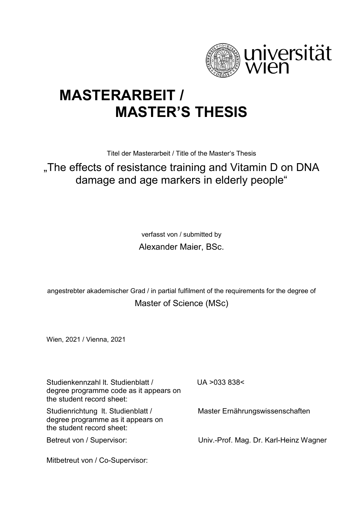

## **MASTERARBEIT / MASTER'S THESIS**

Titel der Masterarbeit / Title of the Master's Thesis

## "The effects of resistance training and Vitamin D on DNA damage and age markers in elderly people"

verfasst von / submitted by Alexander Maier, BSc.

angestrebter akademischer Grad / in partial fulfilment of the requirements for the degree of Master of Science (MSc)

Wien, 2021 / Vienna, 2021

Studienkennzahl lt. Studienblatt / degree programme code as it appears on the student record sheet: UA >033 838< Studienrichtung lt. Studienblatt / degree programme as it appears on the student record sheet: Master Ernährungswissenschaften Betreut von / Supervisor: Mitbetreut von / Co-Supervisor: Univ.-Prof. Mag. Dr. Karl-Heinz Wagner